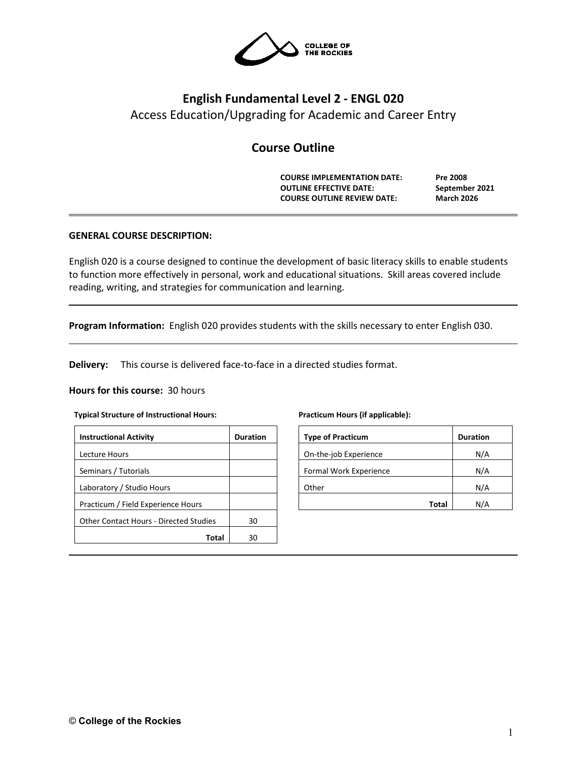

# **English Fundamental Level 2 - ENGL 020** Access Education/Upgrading for Academic and Career Entry

# **Course Outline**

**COURSE IMPLEMENTATION DATE: Pre 2008 OUTLINE EFFECTIVE DATE: September 2021 COURSE OUTLINE REVIEW DATE: March 2026**

# **GENERAL COURSE DESCRIPTION:**

English 020 is a course designed to continue the development of basic literacy skills to enable students to function more effectively in personal, work and educational situations. Skill areas covered include reading, writing, and strategies for communication and learning.

**Program Information:** English 020 provides students with the skills necessary to enter English 030.

**Delivery:** This course is delivered face-to-face in a directed studies format.

### **Hours for this course:** 30 hours

#### **Typical Structure of Instructional Hours:**

| <b>Instructional Activity</b>          | <b>Duration</b> |
|----------------------------------------|-----------------|
| Lecture Hours                          |                 |
| Seminars / Tutorials                   |                 |
| Laboratory / Studio Hours              |                 |
| Practicum / Field Experience Hours     |                 |
| Other Contact Hours - Directed Studies | 30              |
| Total                                  | ٩N              |

#### **Practicum Hours (if applicable):**

| <b>Type of Practicum</b> |       | <b>Duration</b> |
|--------------------------|-------|-----------------|
| On-the-job Experience    |       | N/A             |
| Formal Work Experience   |       | N/A             |
| Other                    |       | N/A             |
|                          | Total | N/A             |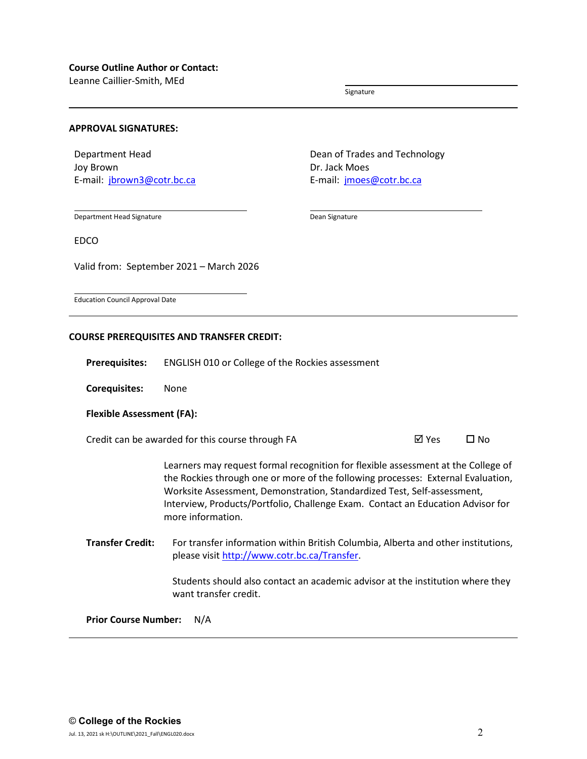Leanne Caillier-Smith, MEd

Signature

#### **APPROVAL SIGNATURES:**

Department Head Joy Brown E-mail: [jbrown3@cotr.bc.ca](mailto:jbrown3@cotr.bc.ca) Dean of Trades and Technology Dr. Jack Moes E-mail: [jmoes@cotr.bc.ca](mailto:jmoes@cotr.bc.ca)

Department Head Signature

Dean Signature

EDCO

Valid from: September 2021 – March 2026

Education Council Approval Date

### **COURSE PREREQUISITES AND TRANSFER CREDIT:**

**Prerequisites:** ENGLISH 010 or College of the Rockies assessment

**Corequisites:** None

### **Flexible Assessment (FA):**

Credit can be awarded for this course through FA  $\boxtimes$  Yes  $\Box$  No

Learners may request formal recognition for flexible assessment at the College of the Rockies through one or more of the following processes: External Evaluation, Worksite Assessment, Demonstration, Standardized Test, Self-assessment, Interview, Products/Portfolio, Challenge Exam. Contact an Education Advisor for more information.

**Transfer Credit:** For transfer information within British Columbia, Alberta and other institutions, please visit [http://www.cotr.bc.ca/Transfer.](http://www.cotr.bc.ca/Transfer)

> Students should also contact an academic advisor at the institution where they want transfer credit.

**Prior Course Number:** N/A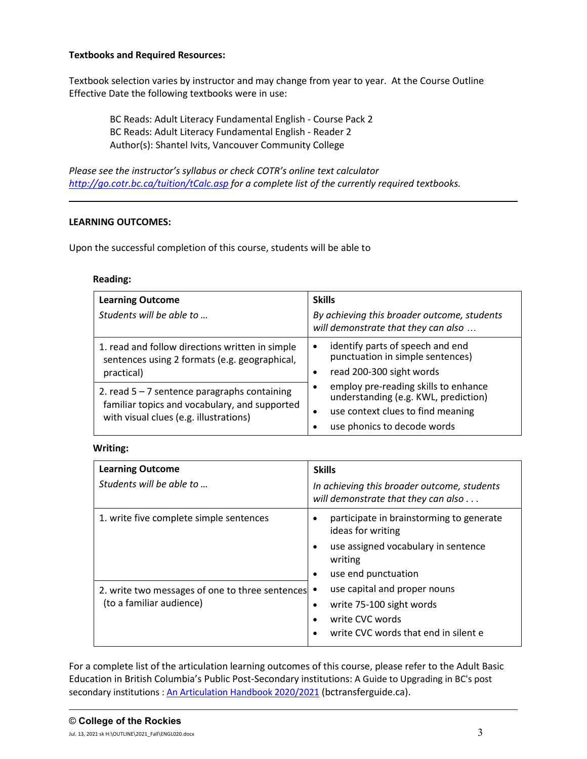# **Textbooks and Required Resources:**

Textbook selection varies by instructor and may change from year to year. At the Course Outline Effective Date the following textbooks were in use:

BC Reads: Adult Literacy Fundamental English - Course Pack 2 BC Reads: Adult Literacy Fundamental English - Reader 2 Author(s): Shantel Ivits, Vancouver Community College

*Please see the instructor's syllabus or check COTR's online text calculator <http://go.cotr.bc.ca/tuition/tCalc.asp> for a complete list of the currently required textbooks.*

# **LEARNING OUTCOMES:**

Upon the successful completion of this course, students will be able to

# **Reading:**

| <b>Learning Outcome</b>                                                                                                                   | <b>Skills</b>                                                                                                                                                 |
|-------------------------------------------------------------------------------------------------------------------------------------------|---------------------------------------------------------------------------------------------------------------------------------------------------------------|
| Students will be able to                                                                                                                  | By achieving this broader outcome, students<br>will demonstrate that they can also                                                                            |
| 1. read and follow directions written in simple<br>sentences using 2 formats (e.g. geographical,<br>practical)                            | identify parts of speech and end<br>$\bullet$<br>punctuation in simple sentences)<br>read 200-300 sight words                                                 |
| 2. read $5 - 7$ sentence paragraphs containing<br>familiar topics and vocabulary, and supported<br>with visual clues (e.g. illustrations) | employ pre-reading skills to enhance<br>understanding (e.g. KWL, prediction)<br>use context clues to find meaning<br>$\bullet$<br>use phonics to decode words |

### **Writing:**

| <b>Learning Outcome</b><br>Students will be able to                           | <b>Skills</b><br>In achieving this broader outcome, students<br>will demonstrate that they can also $\dots$                                                                   |
|-------------------------------------------------------------------------------|-------------------------------------------------------------------------------------------------------------------------------------------------------------------------------|
| 1. write five complete simple sentences                                       | participate in brainstorming to generate<br>$\bullet$<br>ideas for writing<br>use assigned vocabulary in sentence<br>$\bullet$<br>writing<br>use end punctuation<br>$\bullet$ |
| 2. write two messages of one to three sentences •<br>(to a familiar audience) | use capital and proper nouns<br>write 75-100 sight words<br>٠<br>write CVC words<br>write CVC words that end in silent e                                                      |

For a complete list of the articulation learning outcomes of this course, please refer to the Adult Basic Education in British Columbia's Public Post-Secondary institutions: A Guide to Upgrading in BC's post secondary institutions : [An Articulation Handbook 2020/2021](https://www.bctransferguide.ca/docs/ABE2020.pdf) (bctransferguide.ca).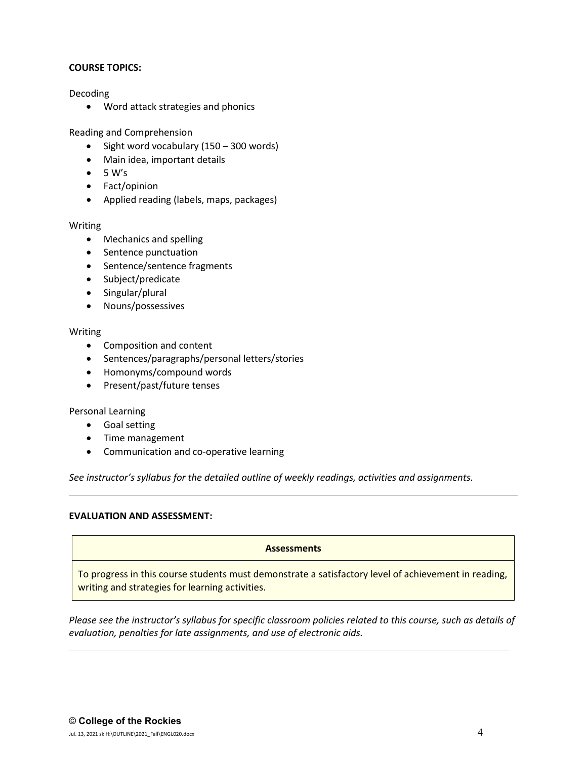# **COURSE TOPICS:**

Decoding

• Word attack strategies and phonics

Reading and Comprehension

- Sight word vocabulary (150 300 words)
- Main idea, important details
- $\bullet$  5 W's
- Fact/opinion
- Applied reading (labels, maps, packages)

# Writing

- Mechanics and spelling
- Sentence punctuation
- Sentence/sentence fragments
- Subject/predicate
- Singular/plural
- Nouns/possessives

# Writing

- Composition and content
- Sentences/paragraphs/personal letters/stories
- Homonyms/compound words
- Present/past/future tenses

Personal Learning

- Goal setting
- Time management
- Communication and co-operative learning

*See instructor's syllabus for the detailed outline of weekly readings, activities and assignments.* 

# **EVALUATION AND ASSESSMENT:**

# **Assessments**

To progress in this course students must demonstrate a satisfactory level of achievement in reading, writing and strategies for learning activities.

*Please see the instructor's syllabus for specific classroom policies related to this course, such as details of evaluation, penalties for late assignments, and use of electronic aids.*